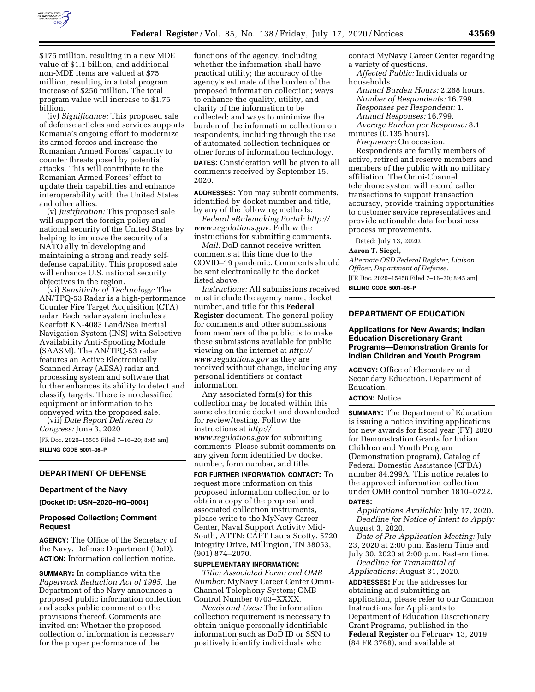

\$175 million, resulting in a new MDE value of \$1.1 billion, and additional non-MDE items are valued at \$75 million, resulting in a total program increase of \$250 million. The total program value will increase to \$1.75 billion.

(iv) *Significance:* This proposed sale of defense articles and services supports Romania's ongoing effort to modernize its armed forces and increase the Romanian Armed Forces' capacity to counter threats posed by potential attacks. This will contribute to the Romanian Armed Forces' effort to update their capabilities and enhance interoperability with the United States and other allies.

(v) *Justification:* This proposed sale will support the foreign policy and national security of the United States by helping to improve the security of a NATO ally in developing and maintaining a strong and ready selfdefense capability. This proposed sale will enhance U.S. national security objectives in the region.

(vi) *Sensitivity of Technology:* The AN/TPQ-53 Radar is a high-performance Counter Fire Target Acquisition (CTA) radar. Each radar system includes a Kearfott KN-4083 Land/Sea Inertial Navigation System (INS) with Selective Availability Anti-Spoofing Module (SAASM). The AN/TPQ-53 radar features an Active Electronically Scanned Array (AESA) radar and processing system and software that further enhances its ability to detect and classify targets. There is no classified equipment or information to be conveyed with the proposed sale.

(vii) *Date Report Delivered to Congress:* June 3, 2020 [FR Doc. 2020–15505 Filed 7–16–20; 8:45 am] **BILLING CODE 5001–06–P** 

## **DEPARTMENT OF DEFENSE**

# **Department of the Navy**

**[Docket ID: USN–2020–HQ–0004]** 

## **Proposed Collection; Comment Request**

**AGENCY:** The Office of the Secretary of the Navy, Defense Department (DoD). **ACTION:** Information collection notice.

**SUMMARY:** In compliance with the *Paperwork Reduction Act of 1995,* the Department of the Navy announces a proposed public information collection and seeks public comment on the provisions thereof. Comments are invited on: Whether the proposed collection of information is necessary for the proper performance of the

functions of the agency, including whether the information shall have practical utility; the accuracy of the agency's estimate of the burden of the proposed information collection; ways to enhance the quality, utility, and clarity of the information to be collected; and ways to minimize the burden of the information collection on respondents, including through the use of automated collection techniques or other forms of information technology. **DATES:** Consideration will be given to all comments received by September 15, 2020.

**ADDRESSES:** You may submit comments, identified by docket number and title, by any of the following methods:

*Federal eRulemaking Portal: [http://](http://www.regulations.gov) [www.regulations.gov.](http://www.regulations.gov)* Follow the instructions for submitting comments.

*Mail:* DoD cannot receive written comments at this time due to the COVID–19 pandemic. Comments should be sent electronically to the docket listed above.

*Instructions:* All submissions received must include the agency name, docket number, and title for this **Federal Register** document. The general policy for comments and other submissions from members of the public is to make these submissions available for public viewing on the internet at *[http://](http://www.regulations.gov) [www.regulations.gov](http://www.regulations.gov)* as they are received without change, including any personal identifiers or contact information.

Any associated form(s) for this collection may be located within this same electronic docket and downloaded for review/testing. Follow the instructions at *[http://](http://www.regulations.gov) [www.regulations.gov](http://www.regulations.gov)* for submitting comments. Please submit comments on any given form identified by docket number, form number, and title.

**FOR FURTHER INFORMATION CONTACT:** To request more information on this proposed information collection or to obtain a copy of the proposal and associated collection instruments, please write to the MyNavy Career Center, Naval Support Activity Mid-South, ATTN: CAPT Laura Scotty, 5720 Integrity Drive, Millington, TN 38053, (901) 874–2070.

#### **SUPPLEMENTARY INFORMATION:**

*Title; Associated Form; and OMB Number:* MyNavy Career Center Omni-Channel Telephony System; OMB Control Number 0703–XXXX.

*Needs and Uses:* The information collection requirement is necessary to obtain unique personally identifiable information such as DoD ID or SSN to positively identify individuals who

contact MyNavy Career Center regarding a variety of questions.

*Affected Public:* Individuals or households.

*Annual Burden Hours:* 2,268 hours. *Number of Respondents:* 16,799. *Responses per Respondent:* 1. *Annual Responses:* 16,799. *Average Burden per Response:* 8.1

minutes (0.135 hours).

*Frequency:* On occasion. Respondents are family members of active, retired and reserve members and members of the public with no military affiliation. The Omni-Channel telephone system will record caller transactions to support transaction accuracy, provide training opportunities to customer service representatives and provide actionable data for business process improvements.

Dated: July 13, 2020.

#### **Aaron T. Siegel,**

*Alternate OSD Federal Register, Liaison Officer, Department of Defense.*  [FR Doc. 2020–15458 Filed 7–16–20; 8:45 am] **BILLING CODE 5001–06–P** 

## **DEPARTMENT OF EDUCATION**

## **Applications for New Awards; Indian Education Discretionary Grant Programs—Demonstration Grants for Indian Children and Youth Program**

**AGENCY:** Office of Elementary and Secondary Education, Department of Education.

# **ACTION:** Notice.

**SUMMARY:** The Department of Education is issuing a notice inviting applications for new awards for fiscal year (FY) 2020 for Demonstration Grants for Indian Children and Youth Program (Demonstration program), Catalog of Federal Domestic Assistance (CFDA) number 84.299A. This notice relates to the approved information collection under OMB control number 1810–0722.

# **DATES:**

*Applications Available:* July 17, 2020. *Deadline for Notice of Intent to Apply:*  August 3, 2020.

*Date of Pre-Application Meeting:* July 23, 2020 at 2:00 p.m. Eastern Time and July 30, 2020 at 2:00 p.m. Eastern time.

*Deadline for Transmittal of Applications:* August 31, 2020.

**ADDRESSES:** For the addresses for obtaining and submitting an application, please refer to our Common Instructions for Applicants to Department of Education Discretionary Grant Programs, published in the **Federal Register** on February 13, 2019 (84 FR 3768), and available at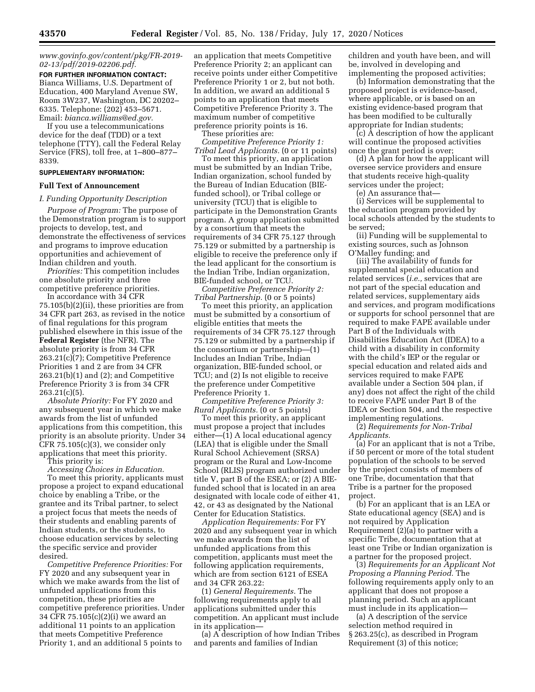## *[www.govinfo.gov/content/pkg/FR-2019-](http://www.govinfo.gov/content/pkg/FR-2019-02-13/pdf/2019-02206.pdf) [02-13/pdf/2019-02206.pdf.](http://www.govinfo.gov/content/pkg/FR-2019-02-13/pdf/2019-02206.pdf)*

**FOR FURTHER INFORMATION CONTACT:**  Bianca Williams, U.S. Department of Education, 400 Maryland Avenue SW, Room 3W237, Washington, DC 20202– 6335. Telephone: (202) 453–5671. Email: *[bianca.williams@ed.gov.](mailto:bianca.williams@ed.gov)* 

If you use a telecommunications device for the deaf (TDD) or a text telephone (TTY), call the Federal Relay Service (FRS), toll free, at 1–800–877– 8339.

#### **SUPPLEMENTARY INFORMATION:**

## **Full Text of Announcement**

### *I. Funding Opportunity Description*

*Purpose of Program:* The purpose of the Demonstration program is to support projects to develop, test, and demonstrate the effectiveness of services and programs to improve education opportunities and achievement of Indian children and youth.

*Priorities:* This competition includes one absolute priority and three competitive preference priorities.

In accordance with 34 CFR 75.105(b)(2)(ii), these priorities are from 34 CFR part 263, as revised in the notice of final regulations for this program published elsewhere in this issue of the **Federal Register** (the NFR). The absolute priority is from 34 CFR 263.21(c)(7); Competitive Preference Priorities 1 and 2 are from 34 CFR 263.21(b)(1) and (2); and Competitive Preference Priority 3 is from 34 CFR 263.21(c)(5).

*Absolute Priority:* For FY 2020 and any subsequent year in which we make awards from the list of unfunded applications from this competition, this priority is an absolute priority. Under 34 CFR 75.105(c)(3), we consider only applications that meet this priority.

This priority is: *Accessing Choices in Education.* 

To meet this priority, applicants must propose a project to expand educational choice by enabling a Tribe, or the grantee and its Tribal partner, to select a project focus that meets the needs of their students and enabling parents of Indian students, or the students, to choose education services by selecting the specific service and provider desired.

*Competitive Preference Priorities:* For FY 2020 and any subsequent year in which we make awards from the list of unfunded applications from this competition, these priorities are competitive preference priorities. Under 34 CFR 75.105(c)(2)(i) we award an additional 11 points to an application that meets Competitive Preference Priority 1, and an additional 5 points to

an application that meets Competitive Preference Priority 2; an applicant can receive points under either Competitive Preference Priority 1 or 2, but not both. In addition, we award an additional 5 points to an application that meets Competitive Preference Priority 3. The maximum number of competitive preference priority points is 16.

These priorities are:

*Competitive Preference Priority 1: Tribal Lead Applicants.* (0 or 11 points)

To meet this priority, an application must be submitted by an Indian Tribe, Indian organization, school funded by the Bureau of Indian Education (BIEfunded school), or Tribal college or university (TCU) that is eligible to participate in the Demonstration Grants program. A group application submitted by a consortium that meets the requirements of 34 CFR 75.127 through 75.129 or submitted by a partnership is eligible to receive the preference only if the lead applicant for the consortium is the Indian Tribe, Indian organization, BIE-funded school, or TCU.

*Competitive Preference Priority 2: Tribal Partnership.* (0 or 5 points)

To meet this priority, an application must be submitted by a consortium of eligible entities that meets the requirements of 34 CFR 75.127 through 75.129 or submitted by a partnership if the consortium or partnership—(1) Includes an Indian Tribe, Indian organization, BIE-funded school, or TCU; and (2) Is not eligible to receive the preference under Competitive Preference Priority 1.

*Competitive Preference Priority 3: Rural Applicants.* (0 or 5 points)

To meet this priority, an applicant must propose a project that includes either—(1) A local educational agency (LEA) that is eligible under the Small Rural School Achievement (SRSA) program or the Rural and Low-Income School (RLIS) program authorized under title V, part B of the ESEA; or (2) A BIEfunded school that is located in an area designated with locale code of either 41, 42, or 43 as designated by the National Center for Education Statistics.

*Application Requirements:* For FY 2020 and any subsequent year in which we make awards from the list of unfunded applications from this competition, applicants must meet the following application requirements, which are from section 6121 of ESEA and 34 CFR 263.22:

(1) *General Requirements.* The following requirements apply to all applications submitted under this competition. An applicant must include in its application—

(a) A description of how Indian Tribes and parents and families of Indian

children and youth have been, and will be, involved in developing and implementing the proposed activities;

(b) Information demonstrating that the proposed project is evidence-based, where applicable, or is based on an existing evidence-based program that has been modified to be culturally appropriate for Indian students;

 $(c)$   $\tilde{A}$  description of how the applicant will continue the proposed activities once the grant period is over;

(d) A plan for how the applicant will oversee service providers and ensure that students receive high-quality services under the project;

(e) An assurance that—

(i) Services will be supplemental to the education program provided by local schools attended by the students to be served;

(ii) Funding will be supplemental to existing sources, such as Johnson O'Malley funding; and

(iii) The availability of funds for supplemental special education and related services (*i.e.,* services that are not part of the special education and related services, supplementary aids and services, and program modifications or supports for school personnel that are required to make FAPE available under Part B of the Individuals with Disabilities Education Act (IDEA) to a child with a disability in conformity with the child's IEP or the regular or special education and related aids and services required to make FAPE available under a Section 504 plan, if any) does not affect the right of the child to receive FAPE under Part B of the IDEA or Section 504, and the respective implementing regulations.

(2) *Requirements for Non-Tribal Applicants.* 

(a) For an applicant that is not a Tribe, if 50 percent or more of the total student population of the schools to be served by the project consists of members of one Tribe, documentation that that Tribe is a partner for the proposed project.

(b) For an applicant that is an LEA or State educational agency (SEA) and is not required by Application Requirement (2)(a) to partner with a specific Tribe, documentation that at least one Tribe or Indian organization is a partner for the proposed project.

(3) *Requirements for an Applicant Not Proposing a Planning Period.* The following requirements apply only to an applicant that does not propose a planning period. Such an applicant must include in its application—

(a) A description of the service selection method required in § 263.25(c), as described in Program Requirement (3) of this notice;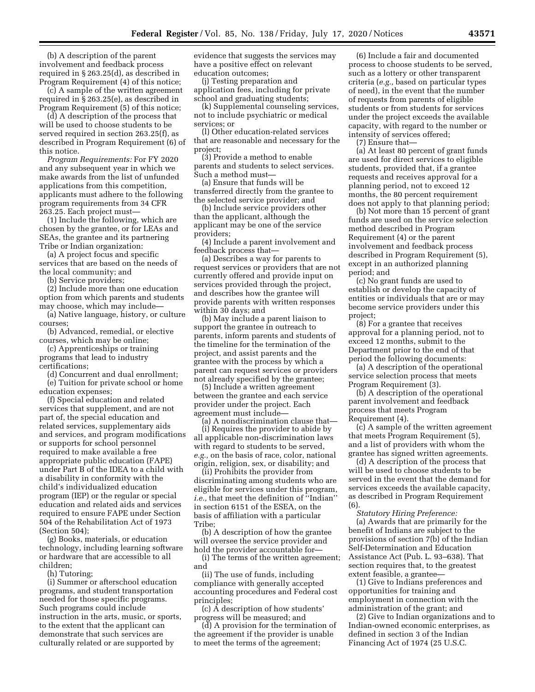(b) A description of the parent involvement and feedback process required in § 263.25(d), as described in Program Requirement (4) of this notice;

(c) A sample of the written agreement required in § 263.25(e), as described in Program Requirement (5) of this notice;

(d) A description of the process that will be used to choose students to be served required in section 263.25(f), as described in Program Requirement (6) of this notice.

*Program Requirements:* For FY 2020 and any subsequent year in which we make awards from the list of unfunded applications from this competition, applicants must adhere to the following program requirements from 34 CFR 263.25. Each project must—

(1) Include the following, which are chosen by the grantee, or for LEAs and SEAs, the grantee and its partnering Tribe or Indian organization:

(a) A project focus and specific services that are based on the needs of the local community; and

(b) Service providers;

(2) Include more than one education option from which parents and students may choose, which may include—

(a) Native language, history, or culture courses;

(b) Advanced, remedial, or elective courses, which may be online;

(c) Apprenticeships or training programs that lead to industry certifications;

(d) Concurrent and dual enrollment;

(e) Tuition for private school or home education expenses;

(f) Special education and related services that supplement, and are not part of, the special education and related services, supplementary aids and services, and program modifications or supports for school personnel required to make available a free appropriate public education (FAPE) under Part B of the IDEA to a child with a disability in conformity with the child's individualized education program (IEP) or the regular or special education and related aids and services required to ensure FAPE under Section 504 of the Rehabilitation Act of 1973 (Section 504);

(g) Books, materials, or education technology, including learning software or hardware that are accessible to all children;

(h) Tutoring;

(i) Summer or afterschool education programs, and student transportation needed for those specific programs. Such programs could include instruction in the arts, music, or sports, to the extent that the applicant can demonstrate that such services are culturally related or are supported by

evidence that suggests the services may have a positive effect on relevant education outcomes;

(j) Testing preparation and application fees, including for private school and graduating students;

(k) Supplemental counseling services, not to include psychiatric or medical services; or

(l) Other education-related services that are reasonable and necessary for the project;

(3) Provide a method to enable parents and students to select services. Such a method must—

(a) Ensure that funds will be transferred directly from the grantee to the selected service provider; and

(b) Include service providers other than the applicant, although the applicant may be one of the service providers;

(4) Include a parent involvement and feedback process that—

(a) Describes a way for parents to request services or providers that are not currently offered and provide input on services provided through the project, and describes how the grantee will provide parents with written responses within 30 days; and

(b) May include a parent liaison to support the grantee in outreach to parents, inform parents and students of the timeline for the termination of the project, and assist parents and the grantee with the process by which a parent can request services or providers not already specified by the grantee;

(5) Include a written agreement between the grantee and each service provider under the project. Each agreement must include—

(a) A nondiscrimination clause that— (i) Requires the provider to abide by all applicable non-discrimination laws with regard to students to be served, *e.g.,* on the basis of race, color, national origin, religion, sex, or disability; and

(ii) Prohibits the provider from discriminating among students who are eligible for services under this program, *i.e.,* that meet the definition of ''Indian'' in section 6151 of the ESEA, on the basis of affiliation with a particular Tribe;

(b) A description of how the grantee will oversee the service provider and hold the provider accountable for—

(i) The terms of the written agreement; and

(ii) The use of funds, including compliance with generally accepted accounting procedures and Federal cost principles;

(c) A description of how students' progress will be measured; and

(d) A provision for the termination of the agreement if the provider is unable to meet the terms of the agreement;

(6) Include a fair and documented process to choose students to be served, such as a lottery or other transparent criteria (*e.g.,* based on particular types of need), in the event that the number of requests from parents of eligible students or from students for services under the project exceeds the available capacity, with regard to the number or intensity of services offered;

(7) Ensure that—

(a) At least 80 percent of grant funds are used for direct services to eligible students, provided that, if a grantee requests and receives approval for a planning period, not to exceed 12 months, the 80 percent requirement does not apply to that planning period;

(b) Not more than 15 percent of grant funds are used on the service selection method described in Program Requirement (4) or the parent involvement and feedback process described in Program Requirement (5), except in an authorized planning period; and

(c) No grant funds are used to establish or develop the capacity of entities or individuals that are or may become service providers under this project;

(8) For a grantee that receives approval for a planning period, not to exceed 12 months, submit to the Department prior to the end of that period the following documents:

(a) A description of the operational service selection process that meets Program Requirement (3).

(b) A description of the operational parent involvement and feedback process that meets Program Requirement (4).

(c) A sample of the written agreement that meets Program Requirement (5), and a list of providers with whom the grantee has signed written agreements.

(d) A description of the process that will be used to choose students to be served in the event that the demand for services exceeds the available capacity, as described in Program Requirement (6).

*Statutory Hiring Preference:*  (a) Awards that are primarily for the benefit of Indians are subject to the provisions of section 7(b) of the Indian Self-Determination and Education Assistance Act (Pub. L. 93–638). That section requires that, to the greatest extent feasible, a grantee—

(1) Give to Indians preferences and opportunities for training and employment in connection with the administration of the grant; and

(2) Give to Indian organizations and to Indian-owned economic enterprises, as defined in section 3 of the Indian Financing Act of 1974 (25 U.S.C.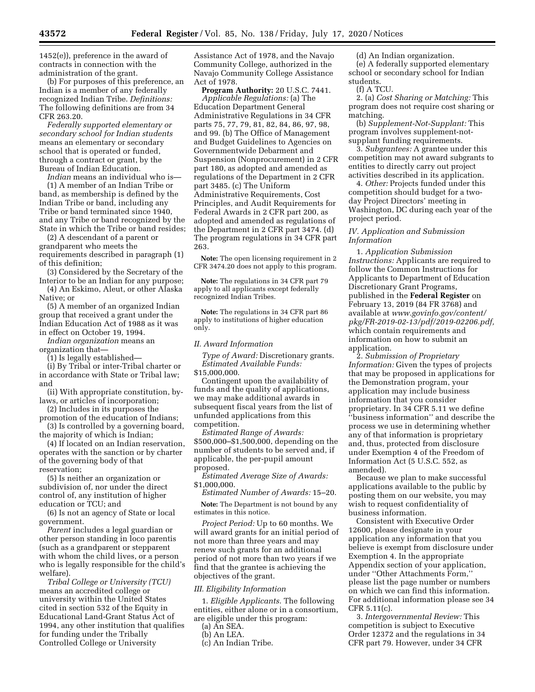1452(e)), preference in the award of contracts in connection with the administration of the grant.

(b) For purposes of this preference, an Indian is a member of any federally recognized Indian Tribe. *Definitions:*  The following definitions are from 34 CFR 263.20.

*Federally supported elementary or secondary school for Indian students*  means an elementary or secondary school that is operated or funded, through a contract or grant, by the Bureau of Indian Education.

*Indian* means an individual who is— (1) A member of an Indian Tribe or band, as membership is defined by the Indian Tribe or band, including any Tribe or band terminated since 1940, and any Tribe or band recognized by the State in which the Tribe or band resides;

(2) A descendant of a parent or grandparent who meets the requirements described in paragraph (1) of this definition;

(3) Considered by the Secretary of the Interior to be an Indian for any purpose;

(4) An Eskimo, Aleut, or other Alaska Native; or

(5) A member of an organized Indian group that received a grant under the Indian Education Act of 1988 as it was in effect on October 19, 1994.

*Indian organization* means an

organization that—

(1) Is legally established—

(i) By Tribal or inter-Tribal charter or in accordance with State or Tribal law; and

- (ii) With appropriate constitution, bylaws, or articles of incorporation;
- (2) Includes in its purposes the promotion of the education of Indians;

(3) Is controlled by a governing board, the majority of which is Indian;

(4) If located on an Indian reservation, operates with the sanction or by charter of the governing body of that reservation;

(5) Is neither an organization or subdivision of, nor under the direct control of, any institution of higher education or TCU; and

(6) Is not an agency of State or local government.

*Parent* includes a legal guardian or other person standing in loco parentis (such as a grandparent or stepparent with whom the child lives, or a person who is legally responsible for the child's welfare).

*Tribal College or University (TCU)*  means an accredited college or university within the United States cited in section 532 of the Equity in Educational Land-Grant Status Act of 1994, any other institution that qualifies for funding under the Tribally Controlled College or University

Assistance Act of 1978, and the Navajo Community College, authorized in the Navajo Community College Assistance Act of 1978.

**Program Authority:** 20 U.S.C. 7441. *Applicable Regulations:* (a) The Education Department General Administrative Regulations in 34 CFR parts 75, 77, 79, 81, 82, 84, 86, 97, 98, and 99. (b) The Office of Management and Budget Guidelines to Agencies on Governmentwide Debarment and Suspension (Nonprocurement) in 2 CFR part 180, as adopted and amended as regulations of the Department in 2 CFR part 3485. (c) The Uniform Administrative Requirements, Cost Principles, and Audit Requirements for Federal Awards in 2 CFR part 200, as adopted and amended as regulations of the Department in 2 CFR part 3474. (d) The program regulations in 34 CFR part 263.

**Note:** The open licensing requirement in 2 CFR 3474.20 does not apply to this program.

**Note:** The regulations in 34 CFR part 79 apply to all applicants except federally recognized Indian Tribes.

**Note:** The regulations in 34 CFR part 86 apply to institutions of higher education only.

#### *II. Award Information*

*Type of Award:* Discretionary grants. *Estimated Available Funds:* 

\$15,000,000.

Contingent upon the availability of funds and the quality of applications, we may make additional awards in subsequent fiscal years from the list of unfunded applications from this competition.

*Estimated Range of Awards:*  \$500,000–\$1,500,000, depending on the number of students to be served and, if applicable, the per-pupil amount proposed.

*Estimated Average Size of Awards:*  \$1,000,000.

*Estimated Number of Awards:* 15–20.

**Note:** The Department is not bound by any estimates in this notice.

*Project Period:* Up to 60 months. We will award grants for an initial period of not more than three years and may renew such grants for an additional period of not more than two years if we find that the grantee is achieving the objectives of the grant.

## *III. Eligibility Information*

1. *Eligible Applicants.* The following entities, either alone or in a consortium, are eligible under this program:

(a) An SEA.

(b) An LEA.

(c) An Indian Tribe.

(d) An Indian organization.

(e) A federally supported elementary school or secondary school for Indian students.

(f) A TCU.

2. (a) *Cost Sharing or Matching:* This program does not require cost sharing or matching.

(b) *Supplement-Not-Supplant:* This program involves supplement-notsupplant funding requirements.

3. *Subgrantees:* A grantee under this competition may not award subgrants to entities to directly carry out project activities described in its application.

4. *Other:* Projects funded under this competition should budget for a twoday Project Directors' meeting in Washington, DC during each year of the project period.

## *IV. Application and Submission Information*

1. *Application Submission Instructions:* Applicants are required to follow the Common Instructions for Applicants to Department of Education Discretionary Grant Programs, published in the **Federal Register** on February 13, 2019 (84 FR 3768) and available at *[www.govinfo.gov/content/](http://www.govinfo.gov/content/pkg/FR-2019-02-13/pdf/2019-02206.pdf)  [pkg/FR-2019-02-13/pdf/2019-02206.pdf,](http://www.govinfo.gov/content/pkg/FR-2019-02-13/pdf/2019-02206.pdf)*  which contain requirements and information on how to submit an application.

2. *Submission of Proprietary Information:* Given the types of projects that may be proposed in applications for the Demonstration program, your application may include business information that you consider proprietary. In 34 CFR 5.11 we define ''business information'' and describe the process we use in determining whether any of that information is proprietary and, thus, protected from disclosure under Exemption 4 of the Freedom of Information Act (5 U.S.C. 552, as amended).

Because we plan to make successful applications available to the public by posting them on our website, you may wish to request confidentiality of business information.

Consistent with Executive Order 12600, please designate in your application any information that you believe is exempt from disclosure under Exemption 4. In the appropriate Appendix section of your application, under ''Other Attachments Form,'' please list the page number or numbers on which we can find this information. For additional information please see 34 CFR 5.11(c).

3. *Intergovernmental Review:* This competition is subject to Executive Order 12372 and the regulations in 34 CFR part 79. However, under 34 CFR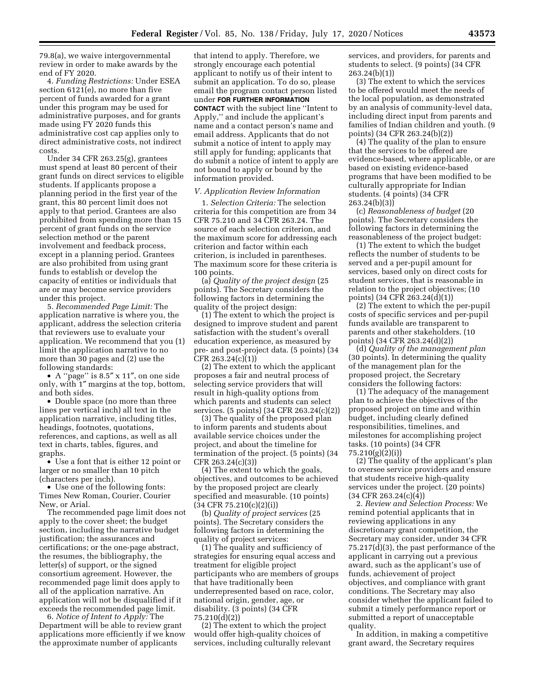79.8(a), we waive intergovernmental review in order to make awards by the end of FY 2020.

4. *Funding Restrictions:* Under ESEA section 6121(e), no more than five percent of funds awarded for a grant under this program may be used for administrative purposes, and for grants made using FY 2020 funds this administrative cost cap applies only to direct administrative costs, not indirect costs.

Under 34 CFR 263.25(g), grantees must spend at least 80 percent of their grant funds on direct services to eligible students. If applicants propose a planning period in the first year of the grant, this 80 percent limit does not apply to that period. Grantees are also prohibited from spending more than 15 percent of grant funds on the service selection method or the parent involvement and feedback process, except in a planning period. Grantees are also prohibited from using grant funds to establish or develop the capacity of entities or individuals that are or may become service providers under this project.

5. *Recommended Page Limit:* The application narrative is where you, the applicant, address the selection criteria that reviewers use to evaluate your application. We recommend that you (1) limit the application narrative to no more than 30 pages and (2) use the following standards:

• A ''page'' is 8.5″ x 11″, on one side only, with 1″ margins at the top, bottom, and both sides.

• Double space (no more than three lines per vertical inch) all text in the application narrative, including titles, headings, footnotes, quotations, references, and captions, as well as all text in charts, tables, figures, and graphs.

• Use a font that is either 12 point or larger or no smaller than 10 pitch (characters per inch).

• Use one of the following fonts: Times New Roman, Courier, Courier New, or Arial.

The recommended page limit does not apply to the cover sheet; the budget section, including the narrative budget justification; the assurances and certifications; or the one-page abstract, the resumes, the bibliography, the letter(s) of support, or the signed consortium agreement. However, the recommended page limit does apply to all of the application narrative. An application will not be disqualified if it exceeds the recommended page limit.

6. *Notice of Intent to Apply:* The Department will be able to review grant applications more efficiently if we know the approximate number of applicants

that intend to apply. Therefore, we strongly encourage each potential applicant to notify us of their intent to submit an application. To do so, please email the program contact person listed under **FOR FURTHER INFORMATION CONTACT** with the subject line ''Intent to Apply,'' and include the applicant's name and a contact person's name and email address. Applicants that do not submit a notice of intent to apply may still apply for funding; applicants that do submit a notice of intent to apply are not bound to apply or bound by the information provided.

## *V. Application Review Information*

1. *Selection Criteria:* The selection criteria for this competition are from 34 CFR 75.210 and 34 CFR 263.24. The source of each selection criterion, and the maximum score for addressing each criterion and factor within each criterion, is included in parentheses. The maximum score for these criteria is 100 points.

(a) *Quality of the project design* (25 points). The Secretary considers the following factors in determining the quality of the project design:

(1) The extent to which the project is designed to improve student and parent satisfaction with the student's overall education experience, as measured by pre- and post-project data. (5 points) (34 CFR 263.24(c)(1))

(2) The extent to which the applicant proposes a fair and neutral process of selecting service providers that will result in high-quality options from which parents and students can select services. (5 points) (34 CFR 263.24(c)(2))

(3) The quality of the proposed plan to inform parents and students about available service choices under the project, and about the timeline for termination of the project. (5 points) (34 CFR 263.24(c)(3))

(4) The extent to which the goals, objectives, and outcomes to be achieved by the proposed project are clearly specified and measurable. (10 points)  $(34 \text{ CFR } 75.210(c)(2)(i))$ 

(b) *Quality of project services* (25 points). The Secretary considers the following factors in determining the quality of project services:

(1) The quality and sufficiency of strategies for ensuring equal access and treatment for eligible project participants who are members of groups that have traditionally been underrepresented based on race, color, national origin, gender, age, or disability. (3 points) (34 CFR 75.210(d)(2))

(2) The extent to which the project would offer high-quality choices of services, including culturally relevant services, and providers, for parents and students to select. (9 points) (34 CFR 263.24(b)(1))

(3) The extent to which the services to be offered would meet the needs of the local population, as demonstrated by an analysis of community-level data, including direct input from parents and families of Indian children and youth. (9 points) (34 CFR 263.24(b)(2))

(4) The quality of the plan to ensure that the services to be offered are evidence-based, where applicable, or are based on existing evidence-based programs that have been modified to be culturally appropriate for Indian students. (4 points) (34 CFR 263.24(b)(3))

(c) *Reasonableness of budget* (20 points). The Secretary considers the following factors in determining the reasonableness of the project budget:

(1) The extent to which the budget reflects the number of students to be served and a per-pupil amount for services, based only on direct costs for student services, that is reasonable in relation to the project objectives; (10 points) (34 CFR 263.24(d)(1))

(2) The extent to which the per-pupil costs of specific services and per-pupil funds available are transparent to parents and other stakeholders. (10 points) (34 CFR 263.24(d)(2))

(d) *Quality of the management plan*  (30 points). In determining the quality of the management plan for the proposed project, the Secretary considers the following factors:

(1) The adequacy of the management plan to achieve the objectives of the proposed project on time and within budget, including clearly defined responsibilities, timelines, and milestones for accomplishing project tasks. (10 points) (34 CFR 75.210(g)(2)(i))

(2) The quality of the applicant's plan to oversee service providers and ensure that students receive high-quality services under the project. (20 points) (34 CFR 263.24(c)(4))

2. *Review and Selection Process:* We remind potential applicants that in reviewing applications in any discretionary grant competition, the Secretary may consider, under 34 CFR 75.217(d)(3), the past performance of the applicant in carrying out a previous award, such as the applicant's use of funds, achievement of project objectives, and compliance with grant conditions. The Secretary may also consider whether the applicant failed to submit a timely performance report or submitted a report of unacceptable quality.

In addition, in making a competitive grant award, the Secretary requires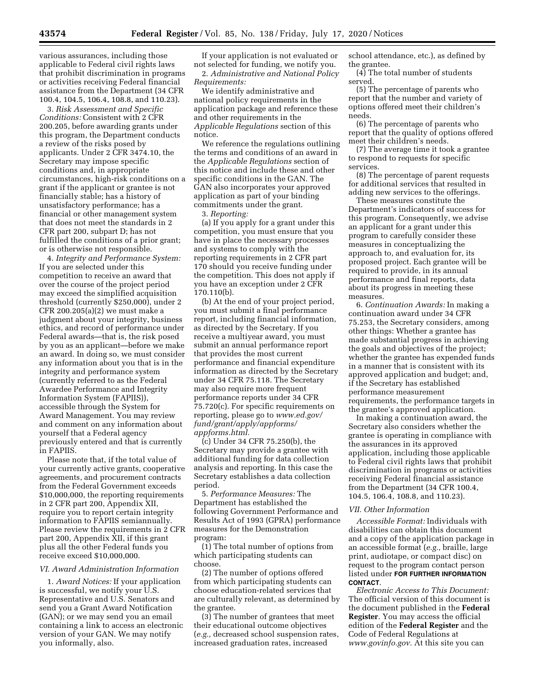various assurances, including those applicable to Federal civil rights laws that prohibit discrimination in programs or activities receiving Federal financial assistance from the Department (34 CFR 100.4, 104.5, 106.4, 108.8, and 110.23).

3. *Risk Assessment and Specific Conditions:* Consistent with 2 CFR 200.205, before awarding grants under this program, the Department conducts a review of the risks posed by applicants. Under 2 CFR 3474.10, the Secretary may impose specific conditions and, in appropriate circumstances, high-risk conditions on a grant if the applicant or grantee is not financially stable; has a history of unsatisfactory performance; has a financial or other management system that does not meet the standards in 2 CFR part 200, subpart D; has not fulfilled the conditions of a prior grant; or is otherwise not responsible.

4. *Integrity and Performance System:*  If you are selected under this competition to receive an award that over the course of the project period may exceed the simplified acquisition threshold (currently \$250,000), under 2 CFR 200.205(a)(2) we must make a judgment about your integrity, business ethics, and record of performance under Federal awards—that is, the risk posed by you as an applicant—before we make an award. In doing so, we must consider any information about you that is in the integrity and performance system (currently referred to as the Federal Awardee Performance and Integrity Information System (FAPIIS)), accessible through the System for Award Management. You may review and comment on any information about yourself that a Federal agency previously entered and that is currently in FAPIIS.

Please note that, if the total value of your currently active grants, cooperative agreements, and procurement contracts from the Federal Government exceeds \$10,000,000, the reporting requirements in 2 CFR part 200, Appendix XII, require you to report certain integrity information to FAPIIS semiannually. Please review the requirements in 2 CFR part 200, Appendix XII, if this grant plus all the other Federal funds you receive exceed \$10,000,000.

#### *VI. Award Administration Information*

1. *Award Notices:* If your application is successful, we notify your U.S. Representative and U.S. Senators and send you a Grant Award Notification (GAN); or we may send you an email containing a link to access an electronic version of your GAN. We may notify you informally, also.

If your application is not evaluated or not selected for funding, we notify you. 2. *Administrative and National Policy Requirements:* 

We identify administrative and national policy requirements in the application package and reference these and other requirements in the *Applicable Regulations* section of this notice.

We reference the regulations outlining the terms and conditions of an award in the *Applicable Regulations* section of this notice and include these and other specific conditions in the GAN. The GAN also incorporates your approved application as part of your binding commitments under the grant.

3. *Reporting:* 

(a) If you apply for a grant under this competition, you must ensure that you have in place the necessary processes and systems to comply with the reporting requirements in 2 CFR part 170 should you receive funding under the competition. This does not apply if you have an exception under 2 CFR 170.110(b).

(b) At the end of your project period, you must submit a final performance report, including financial information, as directed by the Secretary. If you receive a multiyear award, you must submit an annual performance report that provides the most current performance and financial expenditure information as directed by the Secretary under 34 CFR 75.118. The Secretary may also require more frequent performance reports under 34 CFR 75.720(c). For specific requirements on reporting, please go to *[www.ed.gov/](http://www.ed.gov/fund/grant/apply/appforms/appforms.html) [fund/grant/apply/appforms/](http://www.ed.gov/fund/grant/apply/appforms/appforms.html) [appforms.html.](http://www.ed.gov/fund/grant/apply/appforms/appforms.html)* 

(c) Under 34 CFR 75.250(b), the Secretary may provide a grantee with additional funding for data collection analysis and reporting. In this case the Secretary establishes a data collection period.

5. *Performance Measures:* The Department has established the following Government Performance and Results Act of 1993 (GPRA) performance measures for the Demonstration program:

(1) The total number of options from which participating students can choose.

(2) The number of options offered from which participating students can choose education-related services that are culturally relevant, as determined by the grantee.

(3) The number of grantees that meet their educational outcome objectives (*e.g.,* decreased school suspension rates, increased graduation rates, increased

school attendance, etc.), as defined by the grantee.

(4) The total number of students served.

(5) The percentage of parents who report that the number and variety of options offered meet their children's needs.

(6) The percentage of parents who report that the quality of options offered meet their children's needs.

(7) The average time it took a grantee to respond to requests for specific services.

(8) The percentage of parent requests for additional services that resulted in adding new services to the offerings.

These measures constitute the Department's indicators of success for this program. Consequently, we advise an applicant for a grant under this program to carefully consider these measures in conceptualizing the approach to, and evaluation for, its proposed project. Each grantee will be required to provide, in its annual performance and final reports, data about its progress in meeting these measures.

6. *Continuation Awards:* In making a continuation award under 34 CFR 75.253, the Secretary considers, among other things: Whether a grantee has made substantial progress in achieving the goals and objectives of the project; whether the grantee has expended funds in a manner that is consistent with its approved application and budget; and, if the Secretary has established performance measurement requirements, the performance targets in the grantee's approved application.

In making a continuation award, the Secretary also considers whether the grantee is operating in compliance with the assurances in its approved application, including those applicable to Federal civil rights laws that prohibit discrimination in programs or activities receiving Federal financial assistance from the Department (34 CFR 100.4, 104.5, 106.4, 108.8, and 110.23).

#### *VII. Other Information*

*Accessible Format:* Individuals with disabilities can obtain this document and a copy of the application package in an accessible format (*e.g.,* braille, large print, audiotape, or compact disc) on request to the program contact person listed under **FOR FURTHER INFORMATION CONTACT**.

*Electronic Access to This Document:*  The official version of this document is the document published in the **Federal Register**. You may access the official edition of the **Federal Register** and the Code of Federal Regulations at *[www.govinfo.gov.](http://www.govinfo.gov)* At this site you can